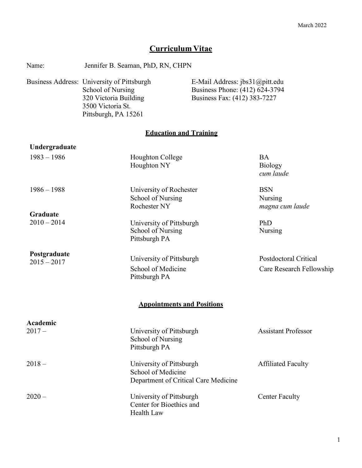# **Curriculum Vitae**

| Name:                         | Jennifer B. Seaman, PhD, RN, CHPN                                                                                                     |                                                                                                  |                                                          |
|-------------------------------|---------------------------------------------------------------------------------------------------------------------------------------|--------------------------------------------------------------------------------------------------|----------------------------------------------------------|
|                               | Business Address: University of Pittsburgh<br>School of Nursing<br>320 Victoria Building<br>3500 Victoria St.<br>Pittsburgh, PA 15261 | E-Mail Address: jbs31@pitt.edu<br>Business Phone: (412) 624-3794<br>Business Fax: (412) 383-7227 |                                                          |
|                               | <b>Education and Training</b>                                                                                                         |                                                                                                  |                                                          |
| Undergraduate                 |                                                                                                                                       |                                                                                                  |                                                          |
| $1983 - 1986$                 | Houghton College<br>Houghton NY                                                                                                       |                                                                                                  | <b>BA</b><br><b>Biology</b><br>cum laude                 |
| $1986 - 1988$<br>Graduate     | University of Rochester<br>School of Nursing<br>Rochester NY                                                                          |                                                                                                  | <b>BSN</b><br>Nursing<br>magna cum laude                 |
| $2010 - 2014$                 | University of Pittsburgh<br>School of Nursing<br>Pittsburgh PA                                                                        |                                                                                                  | PhD<br>Nursing                                           |
| Postgraduate<br>$2015 - 2017$ | University of Pittsburgh<br>School of Medicine<br>Pittsburgh PA                                                                       |                                                                                                  | <b>Postdoctoral Critical</b><br>Care Research Fellowship |
|                               | <b>Appointments and Positions</b>                                                                                                     |                                                                                                  |                                                          |
| Academic                      |                                                                                                                                       |                                                                                                  |                                                          |
| $2017 -$                      | University of Pittsburgh<br>School of Nursing<br>Pittsburgh PA                                                                        |                                                                                                  | <b>Assistant Professor</b>                               |
| $2018 -$                      | University of Pittsburgh<br>School of Medicine<br>Department of Critical Care Medicine                                                |                                                                                                  | <b>Affiliated Faculty</b>                                |
| $2020 -$                      | University of Pittsburgh<br>Center for Bioethics and<br>Health Law                                                                    |                                                                                                  | <b>Center Faculty</b>                                    |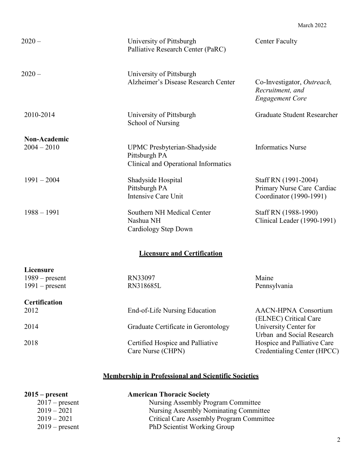March 2022

| $2020 -$                                                 | University of Pittsburgh<br>Palliative Research Center (PaRC)                               | <b>Center Faculty</b>                                                         |
|----------------------------------------------------------|---------------------------------------------------------------------------------------------|-------------------------------------------------------------------------------|
| $2020 -$                                                 | University of Pittsburgh<br>Alzheimer's Disease Research Center                             | Co-Investigator, Outreach,<br>Recruitment, and<br><b>Engagement Core</b>      |
| 2010-2014                                                | University of Pittsburgh<br>School of Nursing                                               | <b>Graduate Student Researcher</b>                                            |
| Non-Academic                                             |                                                                                             |                                                                               |
| $2004 - 2010$                                            | <b>UPMC</b> Presbyterian-Shadyside<br>Pittsburgh PA<br>Clinical and Operational Informatics | <b>Informatics Nurse</b>                                                      |
| $1991 - 2004$                                            | Shadyside Hospital<br>Pittsburgh PA<br>Intensive Care Unit                                  | Staff RN (1991-2004)<br>Primary Nurse Care Cardiac<br>Coordinator (1990-1991) |
| $1988 - 1991$                                            | Southern NH Medical Center<br>Nashua NH<br>Cardiology Step Down                             | Staff RN (1988-1990)<br>Clinical Leader (1990-1991)                           |
|                                                          | <b>Licensure and Certification</b>                                                          |                                                                               |
| <b>Licensure</b><br>$1989$ – present<br>$1991$ – present | RN33097<br>RN318685L                                                                        | Maine<br>Pennsylvania                                                         |
| <b>Certification</b>                                     |                                                                                             |                                                                               |
| 2012                                                     | End-of-Life Nursing Education                                                               | <b>AACN-HPNA Consortium</b><br>(ELNEC) Critical Care                          |
| 2014                                                     | Graduate Certificate in Gerontology                                                         | University Center for<br>Urban and Social Research                            |
| 2018                                                     | Certified Hospice and Palliative<br>Care Nurse (CHPN)                                       | Hospice and Palliative Care<br>Credentialing Center (HPCC)                    |

# **Membership in Professional and Scientific Societies**

| $2015$ – present | <b>American Thoracic Society</b>                |
|------------------|-------------------------------------------------|
| $2017$ – present | Nursing Assembly Program Committee              |
| $2019 - 2021$    | Nursing Assembly Nominating Committee           |
| $2019 - 2021$    | <b>Critical Care Assembly Program Committee</b> |
| $2019$ – present | PhD Scientist Working Group                     |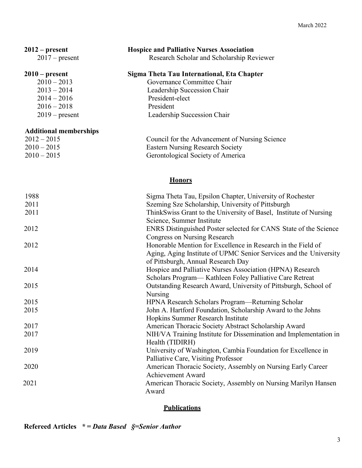| $2012$ – present<br>$2017$ – present | <b>Hospice and Palliative Nurses Association</b><br>Research Scholar and Scholarship Reviewer           |
|--------------------------------------|---------------------------------------------------------------------------------------------------------|
| $2010$ – present<br>$2010 - 2013$    | Sigma Theta Tau International, Eta Chapter<br>Governance Committee Chair                                |
| $2013 - 2014$                        | Leadership Succession Chair                                                                             |
| $2014 - 2016$                        | President-elect<br>President                                                                            |
| $2016 - 2018$<br>$2019$ – present    | Leadership Succession Chair                                                                             |
|                                      |                                                                                                         |
| <b>Additional memberships</b>        |                                                                                                         |
| $2012 - 2015$                        | Council for the Advancement of Nursing Science                                                          |
| $2010 - 2015$                        | <b>Eastern Nursing Research Society</b>                                                                 |
| $2010 - 2015$                        | Gerontological Society of America                                                                       |
|                                      |                                                                                                         |
|                                      | <b>Honors</b>                                                                                           |
| 1988                                 | Sigma Theta Tau, Epsilon Chapter, University of Rochester                                               |
| 2011                                 | Szeming Sze Scholarship, University of Pittsburgh                                                       |
| 2011                                 | ThinkSwiss Grant to the University of Basel, Institute of Nursing                                       |
|                                      | Science, Summer Institute                                                                               |
| 2012                                 | ENRS Distinguished Poster selected for CANS State of the Science                                        |
|                                      | <b>Congress on Nursing Research</b>                                                                     |
| 2012                                 | Honorable Mention for Excellence in Research in the Field of                                            |
|                                      | Aging, Aging Institute of UPMC Senior Services and the University<br>of Pittsburgh, Annual Research Day |
| 2014                                 | Hospice and Palliative Nurses Association (HPNA) Research                                               |
|                                      | Scholars Program— Kathleen Foley Palliative Care Retreat                                                |
| 2015                                 | Outstanding Research Award, University of Pittsburgh, School of                                         |
|                                      | Nursing                                                                                                 |
| 2015                                 | HPNA Research Scholars Program—Returning Scholar                                                        |
| 2015                                 | John A. Hartford Foundation, Scholarship Award to the Johns                                             |
|                                      | Hopkins Summer Research Institute                                                                       |
| 2017                                 | American Thoracic Society Abstract Scholarship Award                                                    |
| 2017                                 | NIH/VA Training Institute for Dissemination and Implementation in                                       |
|                                      | Health (TIDIRH)                                                                                         |
| 2019                                 | University of Washington, Cambia Foundation for Excellence in                                           |
|                                      | Palliative Care, Visiting Professor                                                                     |
| 2020                                 | American Thoracic Society, Assembly on Nursing Early Career                                             |
|                                      | <b>Achievement Award</b>                                                                                |
| 2021                                 | American Thoracic Society, Assembly on Nursing Marilyn Hansen<br>Award                                  |

# **Publications**

**Refereed Articles** *\* = Data Based §=Senior Author*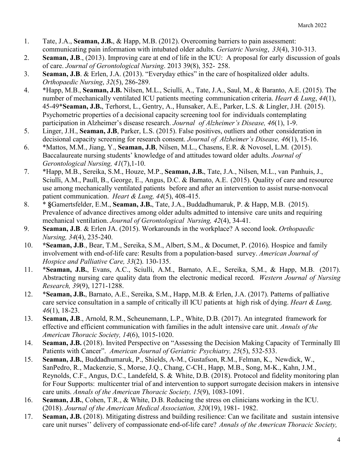- 1. Tate, J.A., **Seaman, J.B.**, & Happ, M.B. (2012). Overcoming barriers to pain assessment: communicating pain information with intubated older adults. *Geriatric Nursing*, *33*(4), 310-313.
- 2. **Seaman, J.B**., (2013). Improving care at end of life in the ICU: A proposal for early discussion of goals of care. *Journal of Gerontological Nursing*. 2013 39(8), 352- 258.
- 3. **Seaman, J.B**. & Erlen, J.A. (2013). "Everyday ethics" in the care of hospitalized older adults. *Orthopaedic Nursing*, *32*(5), 286-289.
- 4. \*Happ, M.B., **Seaman, J.B.** Nilsen, M.L., Sciulli, A., Tate, J.A., Saul, M., & Baranto, A.E. (2015). The number of mechanically ventilated ICU patients meeting communication criteria. *Heart & Lung*, *44*(1), 45-49\***Seaman, J.B.**, Terhorst, L., Gentry, A., Hunsaker, A.E., Parker, L.S. & Lingler, J.H. (2015). Psychometric properties of a decisional capacity screening tool for individuals contemplating participation in Alzheimer's disease research. *Journal of Alzheimer's Disease, 46*(1), 1-9.
- 5. Linger, J.H., **Seaman, J.B**, Parker, L.S. (2015). False positives, outliers and other consideration in decisional capacity screening for research consent. *Journal of Alzheimer's Disease, 46*(1), 15-16.
- 6. \*Mattos, M.M., Jiang, Y., **Seaman, J.B**, Nilsen, M.L., Chasens, E.R. & Novosel, L.M. (2015). Baccalaureate nursing students' knowledge of and attitudes toward older adults. *Journal of Gerontological Nursing, 41*(7),1-10.
- 7. \*Happ, M.B., Sereika, S.M., Houze, M.P., **Seaman, J.B.**, Tate, J.A., Nilsen, M.L., van Panhuis, J., Sciulli, A.M., Paull, B., George, E., Angus, D.C. & Barnato, A.E. (2015). Quality of care and resource use among mechanically ventilated patients before and after an intervention to assist nurse-nonvocal patient communication. *Heart & Lung, 44*(5), 408-415.
- 8. \* **§**Gamertsfelder, E.M., **Seaman, J.B.**, Tate, J.A., Buddadhumaruk, P. & Happ, M.B. (2015). Prevalence of advance directives among older adults admitted to intensive care units and requiring mechanical ventilation. *Journal of Gerontological Nursing, 42*(4), 34-41.
- 9. **Seaman, J.B**. & Erlen JA. (2015). Workarounds in the workplace? A second look. *Orthopaedic Nursing, 34*(4), 235-240.
- 10. **\*Seaman, J.B**., Bear, T.M., Sereika, S.M., Albert, S.M., & Documet, P. (2016). Hospice and family involvement with end-of-life care: Results from a population-based survey. *American Journal of Hospice and Palliative Care, 33*(2). 130-135.
- 11. \***Seaman, J.B.**, Evans, A.C., Sciulli, A.M., Barnato, A.E., Sereika, S,M., & Happ, M.B. (2017). Abstracting nursing care quality data from the electronic medical record. *Western Journal of Nursing Research, 39*(9), 1271-1288.
- 12. \***Seaman, J.B.**, Barnato, A.E., Sereika, S.M., Happ, M.B. & Erlen, J.A. (2017). Patterns of palliative care service consultation in a sample of critically ill ICU patients at high risk of dying. *Heart & Lung, 46*(1), 18-23.
- 13. **Seaman, J.B**., Arnold, R.M., Scheunemann, L.P., White, D.B. (2017). An integrated framework for effective and efficient communication with families in the adult intensive care unit. *Annals of the American Thoracic Society, 14*(6), 1015-1020.
- 14. **Seaman, J.B.** (2018). Invited Perspective on "Assessing the Decision Making Capacity of Terminally Ill Patients with Cancer". *American Journal of Geriatric Psychiatry, 25*(5), 532-533.
- 15. **Seaman, J.B.**, Buddadhumaruk, P., Shields, A-M., Gustafson, R.M., Felman, K., Newdick, W., SanPedro, R., Mackenzie, S., Morse, J.Q., Chang, C-CH., Happ, M.B., Song, M-K., Kahn, J.M., Reynolds, C.F., Angus, D.C., Landefeld, S. & White, D.B. (2018). Protocol and fidelity monitoring plan for Four Supports: multicenter trial of and intervention to support surrogate decision makers in intensive care units. *Annals of the American Thoracic Society, 15*(9), 1083-1091.
- 16. **Seaman, J.B.**, Cohen, T.R., & White, D.B. Reducing the stress on clinicians working in the ICU. (2018). *Journal of the American Medical Association, 320*(19), 1981- 1982.
- 17. **Seaman, J.B.** (2018). Mitigating distress and building resilience: Can we facilitate and sustain intensive care unit nurses'' delivery of compassionate end-of-life care? *Annals of the American Thoracic Society,*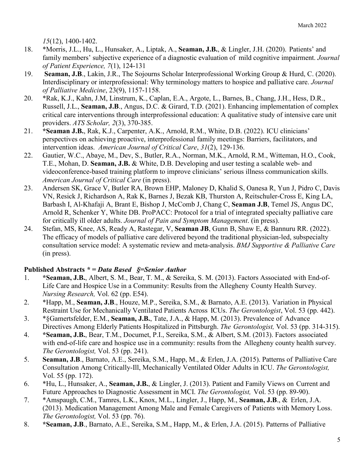*15*(12), 1400-1402.

- 18. \*Morris, J.L., Hu, L., Hunsaker, A., Liptak, A., **Seaman, J.B.**, & Lingler, J.H. (2020). Patients' and family members' subjective experience of a diagnostic evaluation of mild cognitive impairment. *Journal of Patient Experience, 7*(1), 124-131
- 19. **Seaman, J.B**., Lakin, J.R., The Sojourns Scholar Interprofessional Working Group & Hurd, C. (2020). Interdisciplinary or interprofessional: Why terminology matters to hospice and palliative care. *Journal of Palliative Medicine*, 23(9), 1157-1158.
- 20. \*Rak, K.J., Kahn, J.M, Linstrum, K., Caplan, E.A., Argote, L., Barnes, B., Chang, J.H., Hess, D.R., Russell, J.L., **Seaman, J.B**., Angus, D.C. & Girard, T.D. (2021). Enhancing implementation of complex critical care interventions through interprofessional education: A qualitative study of intensive care unit providers. *ATS Scholar, 2*(3), 370-385.
- 21. **\*Seaman J.B.**, Rak, K.J., Carpenter, A.K., Arnold, R.M., White, D.B. (2022). ICU clinicians' perspectives on achieving proactive, interprofessional family meetings: Barriers, facilitators, and intervention ideas. *American Journal of Critical Care*, *31*(2), 129-136.
- 22. Gautier, W.C., Abaye, M., Dev, S., Butler, R.A., Norman, M.K., Arnold, R.M., Witteman, H.O., Cook, T.E., Mohan, D. **Seaman, J.B.** & White, D.B. Developing and user testing a scalable web- and videoconference-based training platform to improve clinicians' serious illness communication skills. *American Journal of Critical Care* (in press).
- 23. Andersen SK, Grace V, Butler RA, Brown EHP, Maloney D, Khalid S, Oanesa R, Yun J, Pidro C, Davis VN, Resick J, Richardson A, Rak K, Barnes J, Bezak KB, Thurston A, Reitschuler-Cross E, King LA, Barbash I, Al-Khafaji A, Brant E, Bishop J, McComb J, Chang C, **Seaman J.B**, Temel JS, Angus DC, Arnold R, Schenker Y, White DB. ProPACC: Protocol for a trial of integrated specialty palliative care for critically ill older adults. *Journal of Pain and Symptom Management*. (in press).
- 24. Stefan, MS, Knee, AS, Ready A, Rastegar, V, **Seaman JB**, Gunn B, Shaw E, & Bannuru RR. (2022). The efficacy of models of palliative care delivered beyond the traditional physician-led, subspecialty consultation service model: A systematic review and meta-analysis. *BMJ Supportive & Palliative Care* (in press).

### **Published Abstracts** *\* = Data Based §=Senior Author*

- 1. **\*Seaman, J.B.**, Albert, S. M., Bear, T. M., & Sereika, S. M. (2013). Factors Associated with End-of-Life Care and Hospice Use in a Community: Results from the Allegheny County Health Survey. *Nursing Research,* Vol. 62 (pp. E54).
- 2. \*Happ, M., **Seaman, J.B**., Houze, M.P., Sereika, S.M., & Barnato, A.E. (2013). Variation in Physical Restraint Use for Mechanically Ventilated Patients Across ICUs. *The Gerontologist*, Vol. 53 (pp. 442).
- 3. \*§Gamertsfelder, E.M., **Seaman, J.B.**, Tate, J.A., & Happ, M. (2013). Prevalence of Advance Directives Among Elderly Patients Hospitalized in Pittsburgh. *The Gerontologist,* Vol. 53 (pp. 314-315).
- 4. **\*Seaman, J.B.**, Bear, T.M., Documet, P.I., Sereika, S.M., & Albert, S.M. (2013). Factors associated with end-of-life care and hospice use in a community: results from the Allegheny county health survey. *The Gerontologist,* Vol. 53 (pp. 241).
- 5. **Seaman, J.B**., Barnato, A.E., Sereika, S.M., Happ, M., & Erlen, J.A. (2015). Patterns of Palliative Care Consultation Among Critically-Ill, Mechanically Ventilated Older Adults in ICU. *The Gerontologist,*  Vol. 55 (pp. 172).
- 6. \*Hu, L., Hunsaker, A., **Seaman, J.B.**, & Lingler, J. (2013). Patient and Family Views on Current and Future Approaches to Diagnostic Assessment in MCI. *The Gerontologist,* Vol. 53 (pp. 89-90).
- 7. \*Amspaugh, C.M., Tamres, L.K., Knox, M.L., Lingler, J., Happ, M., **Seaman, J.B**., & Erlen, J.A. (2013). Medication Management Among Male and Female Caregivers of Patients with Memory Loss. *The Gerontologist,* Vol. 53 (pp. 76).
- 8. **\*Seaman, J.B**., Barnato, A.E., Sereika, S.M., Happ, M., & Erlen, J.A. (2015). Patterns of Palliative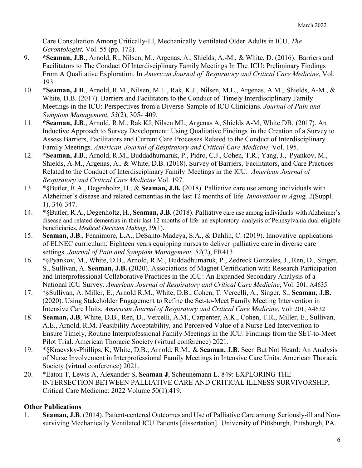Care Consultation Among Critically-Ill, Mechanically Ventilated Older Adults in ICU. *The Gerontologist,* Vol. 55 (pp. 172).

- 9. **\*Seaman, J.B**., Arnold, R., Nilsen, M., Argenas, A., Shields, A.-M., & White, D. (2016). Barriers and Facilitators to The Conduct Of Interdisciplinary Family Meetings In The ICU: Preliminary Findings From A Qualitative Exploration. In *American Journal of Respiratory and Critical Care Medicine*, Vol. 193.
- 10. **\*Seaman, J**.**B**., Arnold, R.M., Nilsen, M.L., Rak, K.J., Nilsen, M.L., Argenas, A.M., Shields, A-M., & White, D.B. (2017). Barriers and Facilitators to the Conduct of Timely Interdisciplinary Family Meetings in the ICU: Perspectives from a Diverse Sample of ICU Clinicians. *Journal of Pain and Symptom Management, 53*(2), 305- 409.
- 11. **\*Seaman, J.B**., Arnold, R.M., Rak KJ, Nilsen ML, Argenas A, Shields A-M, White DB. (2017). An Inductive Approach to Survey Development: Using Qualitative Findings in the Creation of a Survey to Assess Barriers, Facilitators and Current Care Processes Related to the Conduct of Interdisciplinary Family Meetings. *American Journal of Respiratory and Critical Care Medicine,* Vol. 195.
- 12. **\*Seaman, J.B**., Arnold, R.M., Buddadhumaruk, P., Pidro, C.J., Cohen, T.R., Yang, J., Pyankov, M., Shields, A-M., Argenas, A., & White, D.B. (2018). Survey of Barriers, Facilitators, and Care Practices Related to the Conduct of Interdisciplinary Family Meetings in the ICU. *American Journal of Respiratory and Critical Care Medicine* Vol. 197.
- 13. \*§Butler, R.A., Degenholtz, H., & **Seaman, J.B.** (2018). Palliative care use among individuals with Alzheimer's disease and related dementias in the last 12 months of life. *Innovations in Aging, 2*(Suppl. 1), 346-347.
- 14. \*§Butler, R.A., Degenholtz, H., **Seaman, J.B.** (2018). Palliative care use among individuals with Alzheimer's disease and related dementias in their last 12 months of life: an exploratory analysis of Pennsylvania dual-eligible beneficiaries. *Medical Decision Making*, 39(1).
- 15. **Seaman, J.B**., Fennimore, L.A., DeSanto-Madeya, S.A., & Dahlin, C. (2019). Innovative applications of ELNEC curriculum: Eighteen years equipping nurses to deliver palliative care in diverse care settings. *Journal of Pain and Symptom Management, 57*(2), FR413.
- 16. \*§Pyankov, M., White, D.B., Arnold, R.M., Buddadhumaruk, P., Zedreck Gonzales, J., Ren, D., Singer, S., Sullivan, A. **Seaman, J.B.** (2020). Associations of Magnet Certification with Research Participation and Interprofessional Collaborative Practices in the ICU: An Expanded Secondary Analysis of a National ICU Survey*. American Journal of Respiratory and Critical Care Medicine*, Vol: 201, A4635.
- 17. \*§Sullivan, A. Miller, E., Arnold R.M., White, D.B., Cohen, T. Vercelli, A., Singer, S., **Seaman, J.B.** (2020). Using Stakeholder Engagement to Refine the Set-to-Meet Family Meeting Intervention in Intensive Care Units. *American Journal of Respiratory and Critical Care Medicine*, Vol: 201, A4632
- 18. **Seaman, J.B**, White, D.B., Ren, D., Vercelli, A.M., Carpenter, A.K., Cohen, T.R., Miller, E., Sullivan, A.E., Arnold, R.M. Feasibility Acceptability, and Perceived Value of a Nurse Led Intervention to Ensure Timely, Routine Interprofessional Family Meetings in the ICU: Findings from the SET-to-Meet Pilot Trial. American Thoracic Society (virtual conference) 2021.
- 19. \*§Kraevsky**-**Phillips, K, White, D.B., Arnold, R.M., & **Seaman, J.B.** Seen But Not Heard: An Analysis of Nurse Involvement in Interprofessional Family Meetings in Intensive Care Units. American Thoracic Society (virtual conference) 2021.
- 20. \*Eaton T, Lewis A, Alexander S, **Seaman J**, Scheunemann L. 849: EXPLORING THE INTERSECTION BETWEEN PALLIATIVE CARE AND CRITICAL ILLNESS SURVIVORSHIP, Critical Care Medicine: 2022 Volume 50(1):419.

## **Other Publications**

1. **Seaman, J.B**. (2014). Patient-centered Outcomes and Use of Palliative Care among Seriously-ill and Nonsurviving Mechanically Ventilated ICU Patients [dissertation]. University of Pittsburgh, Pittsburgh, PA.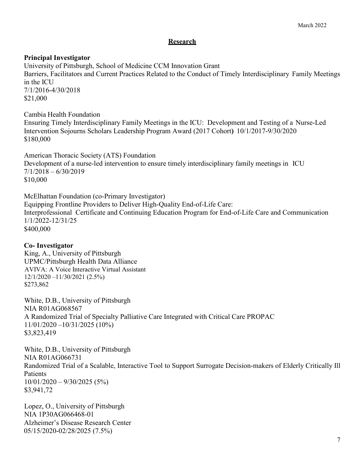#### **Research**

#### **Principal Investigator**

University of Pittsburgh, School of Medicine CCM Innovation Grant Barriers, Facilitators and Current Practices Related to the Conduct of Timely Interdisciplinary Family Meetings in the ICU 7/1/2016-4/30/2018 \$21,000

Cambia Health Foundation

Ensuring Timely Interdisciplinary Family Meetings in the ICU: Development and Testing of a Nurse-Led Intervention Sojourns Scholars Leadership Program Award (2017 Cohort**)** 10/1/2017-9/30/2020 \$180,000

American Thoracic Society (ATS) Foundation Development of a nurse-led intervention to ensure timely interdisciplinary family meetings in ICU 7/1/2018 – 6/30/2019 \$10,000

McElhattan Foundation (co-Primary Investigator) Equipping Frontline Providers to Deliver High-Quality End-of-Life Care: Interprofessional Certificate and Continuing Education Program for End-of-Life Care and Communication 1/1/2022-12/31/25 \$400,000

### **Co- Investigator**

King, A., University of Pittsburgh UPMC/Pittsburgh Health Data Alliance AVIVA: A Voice Interactive Virtual Assistant 12/1/2020 –11/30/2021 (2.5%) \$273,862

White, D.B., University of Pittsburgh NIA R01AG068567 A Randomized Trial of Specialty Palliative Care Integrated with Critical Care PROPAC 11/01/2020 –10/31/2025 (10%) \$3,823,419

White, D.B., University of Pittsburgh NIA R01AG066731 Randomized Trial of a Scalable, Interactive Tool to Support Surrogate Decision-makers of Elderly Critically Ill Patients 10/01/2020 – 9/30/2025 (5%) \$3,941,72

Lopez, O., University of Pittsburgh NIA 1P30AG066468-01 Alzheimer's Disease Research Center 05/15/2020-02/28/2025 (7.5%)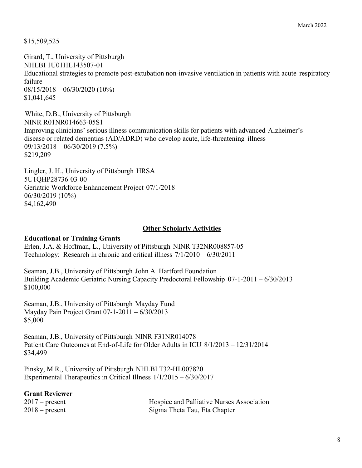\$15,509,525

Girard, T., University of Pittsburgh NHLBI 1U01HL143507-01 Educational strategies to promote post-extubation non-invasive ventilation in patients with acute respiratory failure 08/15/2018 – 06/30/2020 (10%) \$1,041,645

White, D.B., University of Pittsburgh NINR R01NR014663-05S1 Improving clinicians' serious illness communication skills for patients with advanced Alzheimer's disease or related dementias (AD/ADRD) who develop acute, life-threatening illness 09/13/2018 – 06/30/2019 (7.5%) \$219,209

Lingler, J. H., University of Pittsburgh HRSA 5U1QHP28736-03-00 Geriatric Workforce Enhancement Project 07/1/2018– 06/30/2019 (10%) \$4,162,490

#### **Other Scholarly Activities**

#### **Educational or Training Grants**

Erlen, J.A. & Hoffman, L., University of Pittsburgh NINR T32NR008857-05 Technology: Research in chronic and critical illness 7/1/2010 – 6/30/2011

Seaman, J.B., University of Pittsburgh John A. Hartford Foundation Building Academic Geriatric Nursing Capacity Predoctoral Fellowship 07-1-2011 – 6/30/2013 \$100,000

Seaman, J.B., University of Pittsburgh Mayday Fund Mayday Pain Project Grant 07-1-2011 – 6/30/2013 \$5,000

Seaman, J.B., University of Pittsburgh NINR F31NR014078 Patient Care Outcomes at End-of-Life for Older Adults in ICU 8/1/2013 – 12/31/2014 \$34,499

Pinsky, M.R., University of Pittsburgh NHLBI T32-HL007820 Experimental Therapeutics in Critical Illness 1/1/2015 – 6/30/2017

### **Grant Reviewer**

2017 – present Hospice and Palliative Nurses Association 2018 – present Sigma Theta Tau, Eta Chapter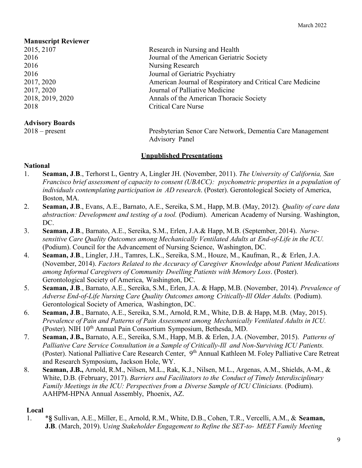# **Manuscript Reviewer**

## **Advisory Boards**

2015, 2107 Research in Nursing and Health 2016 Journal of the American Geriatric Society 2016 Nursing Research 2016 **Journal of Geriatric Psychiatry** 2017, 2020 American Journal of Respiratory and Critical Care Medicine 2017, 2020 Journal of Palliative Medicine 2018, 2019, 2020 Annals of the American Thoracic Society 2018 Critical Care Nurse

2018 – present Presbyterian Senor Care Network, Dementia Care Management Advisory Panel

## **Unpublished Presentations**

## **National**

- 1. **Seaman, J**.**B**., Terhorst L, Gentry A, Lingler JH. (November, 2011). *The University of California, San Francisco brief assessment of capacity to consent (UBACC): psychometric properties in a population of individuals contemplating participation in AD research*. (Poster). Gerontological Society of America, Boston, MA.
- 2. **Seaman, J**.**B**., Evans, A.E., Barnato, A.E., Sereika, S.M., Happ, M.B. (May, 2012). *Quality of care data abstraction: Development and testing of a tool.* (Podium). American Academy of Nursing. Washington, DC.
- 3. **Seaman, J**.**B**., Barnato, A.E., Sereika, S.M., Erlen, J.A.& Happ, M.B. (September, 2014). *Nursesensitive Care Quality Outcomes among Mechanically Ventilated Adults at End-of-Life in the ICU.*  (Podium). Council for the Advancement of Nursing Science, Washington, DC.
- 4. **Seaman, J**.**B**., Lingler, J.H., Tamres, L.K., Sereika, S.M., Houze, M., Kaufman, R., & Erlen, J.A. (November, 2014). *Factors Related to the Accuracy of Caregiver Knowledge about Patient Medications among Informal Caregivers of Community Dwelling Patients with Memory Loss*. (Poster). Gerontological Society of America, Washington, DC.
- 5. **Seaman, J**.**B**., Barnato, A.E., Sereika, S.M., Erlen, J.A. & Happ, M.B. (November, 2014). *Prevalence of Adverse End-of-Life Nursing Care Quality Outcomes among Critically-Ill Older Adults.* (Podium). Gerontological Society of America, Washington, DC.
- 6. **Seaman, J**.**B**., Barnato, A.E., Sereika, S.M., Arnold, R.M., White, D.B. & Happ, M.B. (May, 2015). *Prevalence of Pain and Patterns of Pain Assessment among Mechanically Ventilated Adults in ICU.* (Poster). NIH 10<sup>th</sup> Annual Pain Consortium Symposium, Bethesda, MD.
- 7. **Seaman, J**.**B.,** Barnato, A.E., Sereika, S.M., Happ, M.B. & Erlen, J.A. (November, 2015). *Patterns of Palliative Care Service Consultation in a Sample of Critically-Ill and Non-Surviving ICU Patients.*  (Poster). National Palliative Care Research Center, 9<sup>th</sup> Annual Kathleen M. Foley Palliative Care Retreat and Research Symposium**,** Jackson Hole, WY.
- 8. **Seaman, J.B.,** Arnold, R.M., Nilsen, M.L., Rak, K.J., Nilsen, M.L., Argenas, A.M., Shields, A-M., & White, D.B. (February, 2017). *Barriers and Facilitators to the Conduct of Timely Interdisciplinary Family Meetings in the ICU: Perspectives from a Diverse Sample of ICU Clinicians.* (Podium). AAHPM-HPNA Annual Assembly, Phoenix, AZ.

## **Local**

1. \***§** Sullivan, A.E., Miller, E., Arnold, R.M., White, D.B., Cohen, T.R., Vercelli, A.M., & **Seaman, J.B**. (March, 2019). U*sing Stakeholder Engagement to Refine the SET-to- MEET Family Meeting*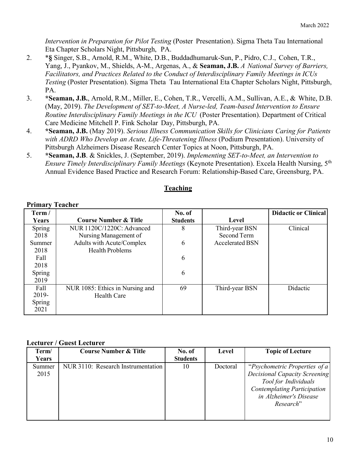*Intervention in Preparation for Pilot Testing* (Poster Presentation). Sigma Theta Tau International Eta Chapter Scholars Night, Pittsburgh, PA.

- 2. \***§** Singer, S.B., Arnold, R.M., White, D.B., Buddadhumaruk-Sun, P., Pidro, C.J., Cohen, T.R., Yang, J., Pyankov, M., Shields, A-M., Argenas, A., & **Seaman, J.B.** *A National Survey of Barriers, Facilitators, and Practices Related to the Conduct of Interdisciplinary Family Meetings in ICUs Testing* (Poster Presentation). Sigma Theta Tau International Eta Chapter Scholars Night, Pittsburgh, PA.
- 3. **\*Seaman, J.B.**, Arnold, R.M., Miller, E., Cohen, T.R., Vercelli, A.M., Sullivan, A.E., & White, D.B. (May, 2019). *The Development of SET-to-Meet, A Nurse-led, Team-based Intervention to Ensure Routine Interdisciplinary Family Meetings in the ICU* (Poster Presentation). Department of Critical Care Medicine Mitchell P. Fink Scholar Day, Pittsburgh, PA.
- 4. **\*Seaman, J.B.** (May 2019). *Serious Illness Communication Skills for Clinicians Caring for Patients with ADRD Who Develop an Acute, Life-Threatening Illness* (Podium Presentation). University of Pittsburgh Alzheimers Disease Research Center Topics at Noon, Pittsburgh, PA.
- 5. **\*Seaman, J.B**. & Snickles, J. (September, 2019). *Implementing SET-to-Meet, an Intervention to Ensure Timely Interdisciplinary Family Meetings* (Keynote Presentation). Excela Health Nursing, 5th Annual Evidence Based Practice and Research Forum: Relationship-Based Care, Greensburg, PA.

**Teaching**

| Term/  |                                  | No. of          |                        | <b>Didactic or Clinical</b> |
|--------|----------------------------------|-----------------|------------------------|-----------------------------|
| Years  | <b>Course Number &amp; Title</b> | <b>Students</b> | Level                  |                             |
| Spring | NUR 1120C/1220C: Advanced        | 8               | Third-year BSN         | Clinical                    |
| 2018   | Nursing Management of            |                 | Second Term            |                             |
| Summer | Adults with Acute/Complex        | 6               | <b>Accelerated BSN</b> |                             |
| 2018   | <b>Health Problems</b>           |                 |                        |                             |
| Fall   |                                  | 6               |                        |                             |
| 2018   |                                  |                 |                        |                             |
| Spring |                                  | 6               |                        |                             |
| 2019   |                                  |                 |                        |                             |
| Fall   | NUR 1085: Ethics in Nursing and  | 69              | Third-year BSN         | Didactic                    |
| 2019-  | Health Care                      |                 |                        |                             |
| Spring |                                  |                 |                        |                             |
| 2021   |                                  |                 |                        |                             |

#### **Primary Teacher**

#### **Lecturer / Guest Lecturer**

| Term/  | <b>Course Number &amp; Title</b>   | No. of          | Level    | <b>Topic of Lecture</b>            |
|--------|------------------------------------|-----------------|----------|------------------------------------|
| Years  |                                    | <b>Students</b> |          |                                    |
| Summer | NUR 3110: Research Instrumentation | 10              | Doctoral | "Psychometric Properties of a      |
| 2015   |                                    |                 |          | Decisional Capacity Screening      |
|        |                                    |                 |          | Tool for Individuals               |
|        |                                    |                 |          | <b>Contemplating Participation</b> |
|        |                                    |                 |          | in Alzheimer's Disease             |
|        |                                    |                 |          | Research"                          |
|        |                                    |                 |          |                                    |
|        |                                    |                 |          |                                    |